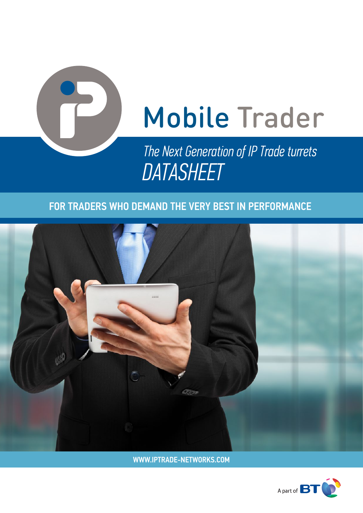

# Mobile Trader

*The Next Generation of IP Trade turrets DATASHEET*

### FOR TRADERS WHO DEMAND THE VERY BEST IN PERFORMANCE



WWW.IPTRADE-NETWORKS.COM

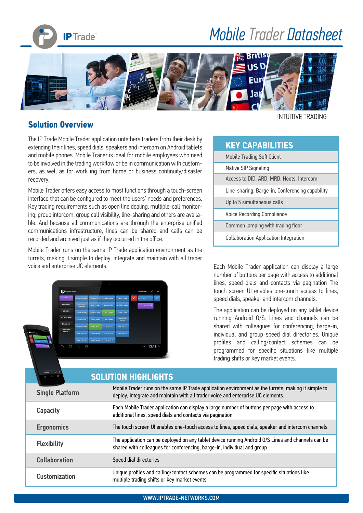

# *Mobile Trader Datasheet*



#### **Solution Overview**

The IP Trade Mobile Trader application untethers traders from their desk by extending their lines, speed dials, speakers and intercom on Android tablets and mobile phones. Mobile Trader is ideal for mobile employees who need to be involved in the trading workflow or be in communication with customers, as well as for work ing from home or business continuity/disaster recovery.

Mobile Trader offers easy access to most functions through a touch-screen interface that can be configured to meet the users' needs and preferences. Key trading requirements such as open line dealing, multiple-call monitoring, group intercom, group call visibility, line-sharing and others are available. And because all communications are through the enterprise unified communications infrastructure, lines can be shared and calls can be recorded and archived just as if they occurred in the office.

Mobile Trader runs on the same IP Trade application environment as the turrets, making it simple to deploy, integrate and maintain with all trader voice and enterprise UC elements. Each Mobile Trader application can display a large

| MobileTrader                  |                                    |                       |                       |                       |   | JOHN SMITH<br>۰   | ۰ |
|-------------------------------|------------------------------------|-----------------------|-----------------------|-----------------------|---|-------------------|---|
| A1.                           | <b>Agnus Woodring</b>              | <b>Berradette Ton</b> | <b>Denyoe Solders</b> | Detra Jaffee          | O | Joe Riddick       | н |
| <b>Back room</b>              | <b>Disnatta</b><br><b>Heavener</b> | <b>Dusty Pink</b>     | <b>Emin Choice</b>    | <b>Francine Kahle</b> |   | <b>DULPAD III</b> |   |
| Cortacts                      | Freddy Routher                     | <b>Jacque Luper</b>   | <b>Joe Riddlek</b>    | <b>Jolene Pooge</b>   |   |                   |   |
| <b>DDI Slots 3041</b>         | Lashaun Sher                       | <b>Lesta Pinnock</b>  | Mac Dukes             | Madonna<br>Harbot.    |   |                   |   |
| <b>Main room</b><br>Corporate | <b>Rosendo Lepak</b>               | Set 304101            | \$50,004102           | Sist 304103           |   |                   |   |
| Directory                     | Slot 304104                        | Sint 304105           | Siot 304106           | Slot 304107           |   |                   |   |
|                               | <b>Six 304108</b>                  | Sist 304109           | Sk4 364110            |                       |   |                   |   |

INTUITIVE TRADING

#### **KEY CAPABILITIES**

| <b>Mobile Trading Soft Client</b>               |
|-------------------------------------------------|
| Native SIP Signaling                            |
| Access to DID, ARD, MRD, Hoots, Intercom        |
| Line-sharing, Barge-in, Conferencing capability |
| Up to 5 simultaneous calls                      |
| Voice Recording Compliance                      |
| Common lamping with trading floor               |
| <b>Collaboration Application Integration</b>    |

number of buttons per page with access to additional lines, speed dials and contacts via pagination The touch screen UI enables one-touch access to lines, speed dials, speaker and intercom channels.

The application can be deployed on any tablet device running Android O/S. Lines and channels can be shared with colleagues for conferencing, barge-in, individual and group speed dial directories. Unique profiles and calling/contact schemes can be programmed for specific situations like multiple trading shifts or key market events.

| $m \in \mathbb{C}$     | <b>SOLUTION HIGHLIGHTS</b>                                                                                                                                                              |
|------------------------|-----------------------------------------------------------------------------------------------------------------------------------------------------------------------------------------|
| <b>Single Platform</b> | Mobile Trader runs on the same IP Trade application environment as the turrets, making it simple to<br>deploy, integrate and maintain with all trader voice and enterprise UC elements. |
| <b>Capacity</b>        | Each Mobile Trader application can display a large number of buttons per page with access to<br>additional lines, speed dials and contacts via pagination                               |
| <b>Ergonomics</b>      | The touch screen UI enables one-touch access to lines, speed dials, speaker and intercom channels                                                                                       |
| <b>Flexibility</b>     | The application can be deployed on any tablet device running Android O/S Lines and channels can be<br>shared with colleagues for conferencing, barge-in, individual and group           |
| <b>Collaboration</b>   | Speed dial directories                                                                                                                                                                  |
| <b>Customization</b>   | Unique profiles and calling/contact schemes can be programmed for specific situations like<br>multiple trading shifts or key market events                                              |
|                        |                                                                                                                                                                                         |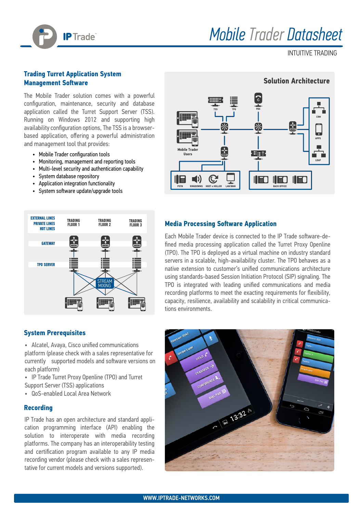

## *Mobile Trader Datasheet*

INTUITIVE TRADING

#### **Trading Turret Application System Management Software**

The Mobile Trader solution comes with a powerful configuration, maintenance, security and database application called the Turret Support Server (TSS). Running on Windows 2012 and supporting high availability configuration options, The TSS is a browserbased application, offering a powerful administration and management tool that provides:

- Mobile Trader configuration tools
- Monitoring, management and reporting tools
- Multi-level security and authentication capability
- System database repository
- Application integration functionality
- System software update/upgrade tools



#### **System Prerequisites**

- Alcatel, Avaya, Cisco unified communications platform (please check with a sales representative for currently supported models and software versions on each platform)
- IP Trade Turret Proxy Openline (TPO) and Turret Support Server (TSS) applications
- QoS-enabled Local Area Network

#### **Recording**

IP Trade has an open architecture and standard application programming interface (API) enabling the solution to interoperate with media recording platforms. The company has an interoperability testing and certification program available to any IP media recording vendor (please check with a sales representative for current models and versions supported).



#### **Media Processing Software Application**

Each Mobile Trader device is connected to the IP Trade software-defined media processing application called the Turret Proxy Openline (TPO). The TPO is deployed as a virtual machine on industry standard servers in a scalable, high-availability cluster. The TPO behaves as a native extension to customer's unified communications architecture using standards-based Session Initiation Protocol (SIP) signaling. The TPO is integrated with leading unified communications and media recording platforms to meet the exacting requirements for flexibility, capacity, resilience, availability and scalability in critical communications environments.



#### WWW.IPTRADE-NETWORKS.COM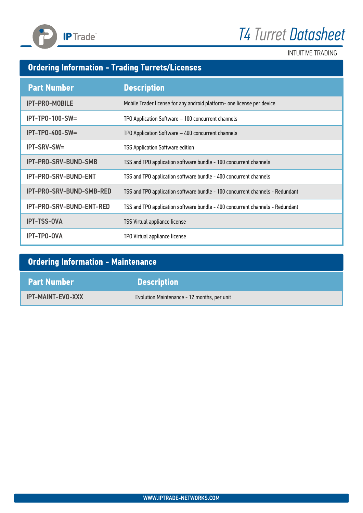

# *T4 Turret Datasheet*

INTUITIVE TRADING

### **Ordering Information - Trading Turrets/Licenses**

| <b>Part Number</b>          | <b>Description</b>                                                            |
|-----------------------------|-------------------------------------------------------------------------------|
| <b>IPT-PRO-MOBILE</b>       | Mobile Trader license for any android platform- one license per device        |
| $IPT-TPO-100-SW=$           | TPO Application Software - 100 concurrent channels                            |
| $IPT-TPO-400-SW=$           | TPO Application Software - 400 concurrent channels                            |
| <b>IPT-SRV-SW=</b>          | <b>TSS Application Software edition</b>                                       |
| <b>IPT-PRO-SRV-BUND-SMB</b> | TSS and TPO application software bundle - 100 concurrent channels             |
| <b>IPT-PRO-SRV-BUND-ENT</b> | TSS and TPO application software bundle - 400 concurrent channels             |
| IPT-PRO-SRV-BUND-SMB-RED    | TSS and TPO application software bundle - 100 concurrent channels - Redundant |
| IPT-PRO-SRV-BUND-ENT-RED    | TSS and TPO application software bundle - 400 concurrent channels - Redundant |
| <b>IPT-TSS-OVA</b>          | <b>TSS Virtual appliance license</b>                                          |
| <b>IPT-TPO-OVA</b>          | TPO Virtual appliance license                                                 |

| <b>Ordering Information - Maintenance</b> |                                             |  |  |  |
|-------------------------------------------|---------------------------------------------|--|--|--|
| <b>Part Number</b>                        | <b>Description</b>                          |  |  |  |
| <b>IPT-MAINT-EVO-XXX</b>                  | Evolution Maintenance - 12 months, per unit |  |  |  |